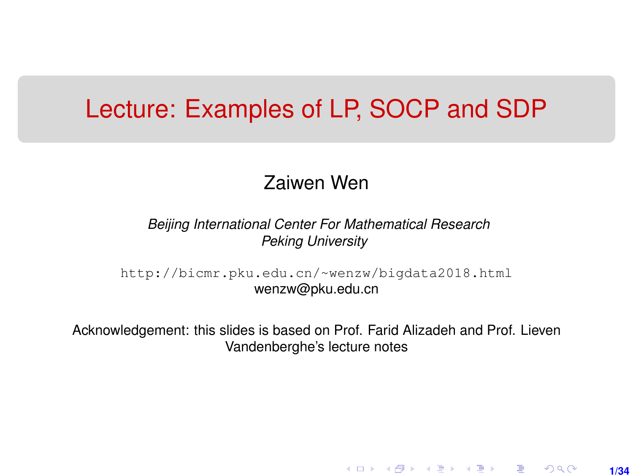## <span id="page-0-0"></span>Lecture: Examples of LP, SOCP and SDP

#### Zaiwen Wen

*Beijing International Center For Mathematical Research Peking University*

[http://bicmr.pku.edu.cn/~wenzw/bigdata2018.html](http://bicmr.pku.edu.cn/~wenzw/bigdata2018.html ) wenzw@pku.edu.cn

Acknowledgement: this slides is based on Prof. Farid Alizadeh and Prof. Lieven Vandenberghe's lecture notes

**1/34**

K ロ ▶ K 레 ▶ K 회 ▶ K 회 ▶ │ 회 │ ⊙ Q Q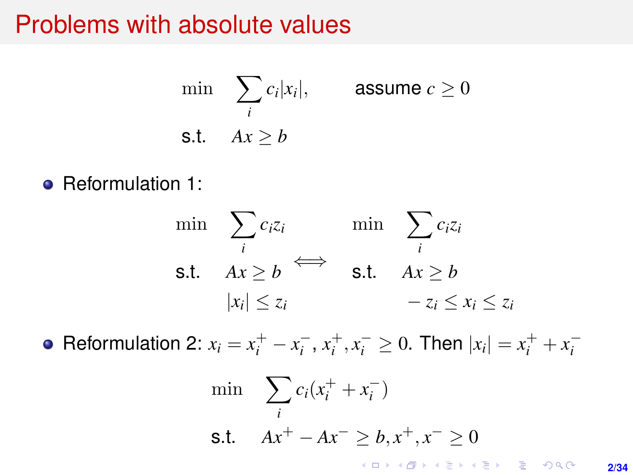#### Problems with absolute values

$$
\min \sum_{i} c_i |x_i|, \qquad \text{assume } c \ge 0
$$
\n
$$
\text{s.t.} \quad Ax \ge b
$$

• Reformulation 1:

$$
\min \quad \sum_{i} c_i z_i \qquad \text{min} \quad \sum_{i} c_i z_i
$$
\n
$$
\text{s.t.} \quad Ax \ge b \qquad \text{s.t.} \quad Ax \ge b
$$
\n
$$
|x_i| \le z_i \qquad -z_i \le x_i \le z_i
$$

Reformulation 2:  $x_i = x_i^+ - x_i^-, x_i^+, x_i^- \ge 0$ . Then  $|x_i| = x_i^+ + x_i^-$ 

$$
\min \sum_{i} c_i (x_i^+ + x_i^-)
$$
\n
$$
\text{s.t.} \quad Ax^+ - Ax^- \geq b, x^+, x^- \geq 0
$$

**2/34**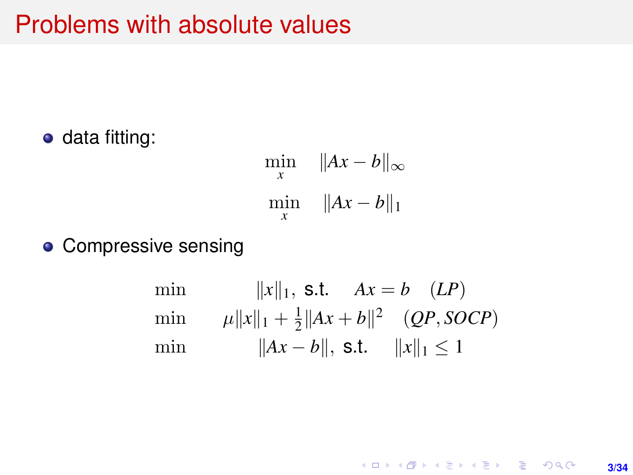## Problems with absolute values

• data fitting:

$$
\min_{x} \quad \|Ax - b\|_{\infty}
$$
  

$$
\min_{x} \quad \|Ax - b\|_{1}
$$

**o** Compressive sensing

min 
$$
||x||_1
$$
, s.t.  $Ax = b$  *(LP)*  
min  $\mu ||x||_1 + \frac{1}{2} ||Ax + b||^2$  *(QP, SOCP)*  
min  $||Ax - b||$ , s.t.  $||x||_1 \le 1$ 

K ロ ▶ K @ ▶ K 할 > K 할 > 1 할 > 1 이익어 **3/34**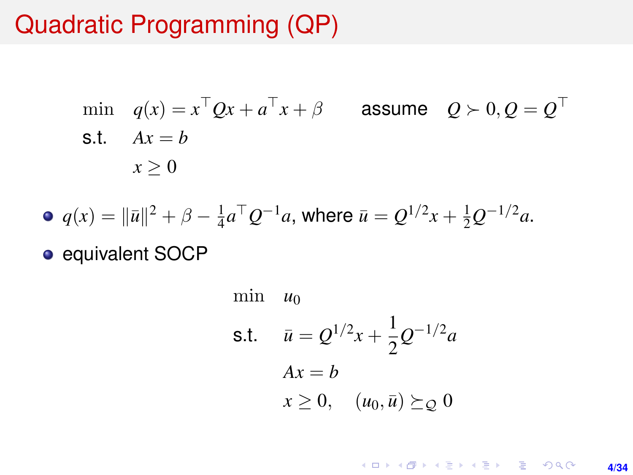## Quadratic Programming (QP)

min 
$$
q(x) = x^{\top}Qx + a^{\top}x + \beta
$$
 assume  $Q \succ 0, Q = Q^{\top}$   
s.t.  $Ax = b$   
 $x \ge 0$ 

• 
$$
q(x) = ||\bar{u}||^2 + \beta - \frac{1}{4}a^{\top}Q^{-1}a
$$
, where  $\bar{u} = Q^{1/2}x + \frac{1}{2}Q^{-1/2}a$ .

• equivalent SOCP

min 
$$
u_0
$$
  
\ns.t.  $\bar{u} = Q^{1/2}x + \frac{1}{2}Q^{-1/2}a$   
\n $Ax = b$   
\n $x \ge 0$ ,  $(u_0, \bar{u}) \succeq_Q 0$ 

**4/34**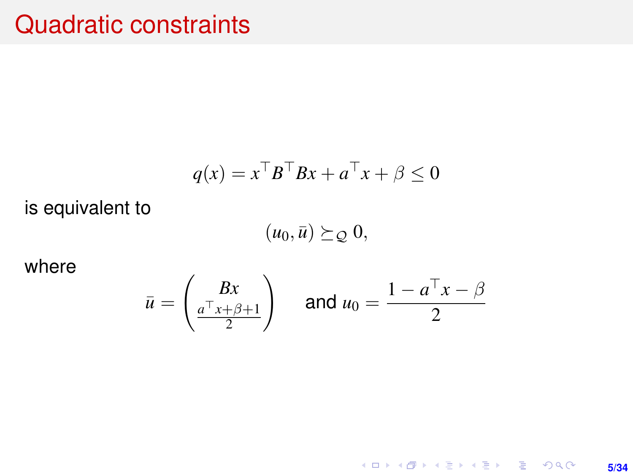### Quadratic constraints

$$
q(x) = x^{\top}B^{\top}Bx + a^{\top}x + \beta \le 0
$$

is equivalent to

 $(u_0, \bar{u}) \succeq_{\mathcal{Q}} 0,$ 

where

$$
\bar{u} = \begin{pmatrix} Bx \\ \frac{a^{\top}x + \beta + 1}{2} \end{pmatrix} \quad \text{and } u_0 = \frac{1 - a^{\top}x - \beta}{2}
$$

K ロ ▶ K @ ▶ K 할 ▶ K 할 ▶ | 할 | K 9 Q Q · **5/34**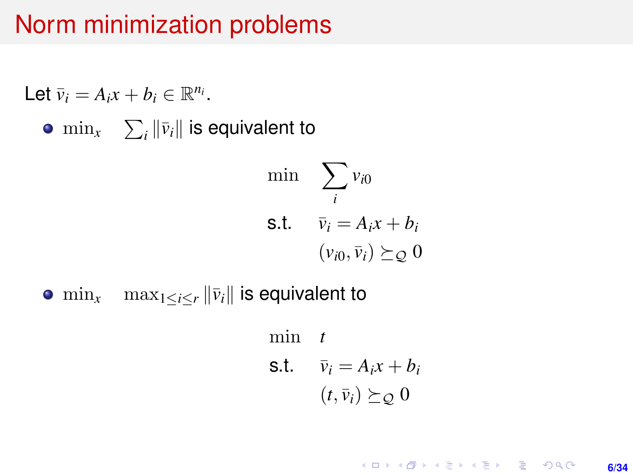## Norm minimization problems

Let 
$$
\bar{v}_i = A_i x + b_i \in \mathbb{R}^{n_i}
$$
.  
\n•  $\min_x \sum_i ||\bar{v}_i||$  is equivalent to  
\n $\min_{i} \sum_i v_{i0}$   
\n**s.t.**  $\bar{v}_i = A_i x + b_i$   
\n $(v_{i0}, \bar{v}_i) \succeq_{\mathcal{Q}} 0$ 

•  $\min_{x}$   $\max_{1 \leq i \leq r} ||\bar{v}_i||$  is equivalent to

min *t* s.t.  $\bar{v}_i = A_i x + b_i$  $(t, \bar{v}_i) \succeq_{\mathcal{O}} 0$ 

> **KOD KAD KED KED E YOUR 6/34**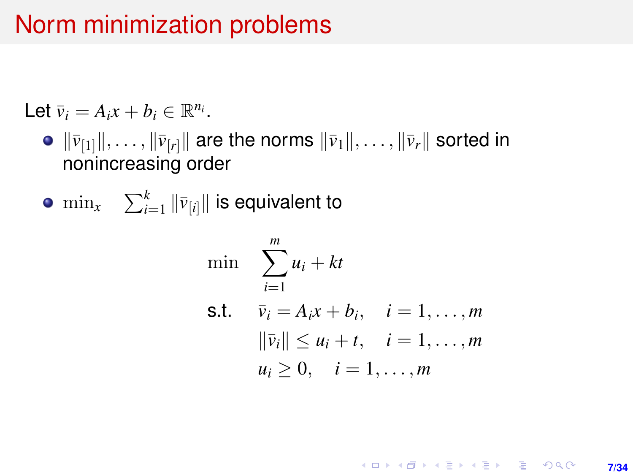## Norm minimization problems

Let  $\bar{v}_i = A_i x + b_i \in \mathbb{R}^{n_i}$ .

- $\bullet$   $\|\bar{v}_{[1]}\|, \ldots, \|\bar{v}_{[r]}\|$  are the norms  $\|\bar{v}_1\|, \ldots, \|\bar{v}_r\|$  sorted in nonincreasing order
- $\min_{x}$   $\sum_{i=1}^{k} \|\bar{v}_{[i]}\|$  is equivalent to

min 
$$
\sum_{i=1}^{m} u_i + kt
$$
  
\ns.t.  $\bar{v}_i = A_i x + b_i, \quad i = 1, ..., m$   
\n $\|\bar{v}_i\| \le u_i + t, \quad i = 1, ..., m$   
\n $u_i \ge 0, \quad i = 1, ..., m$ 

**KOD KAD KED KED E YOUR 7/34**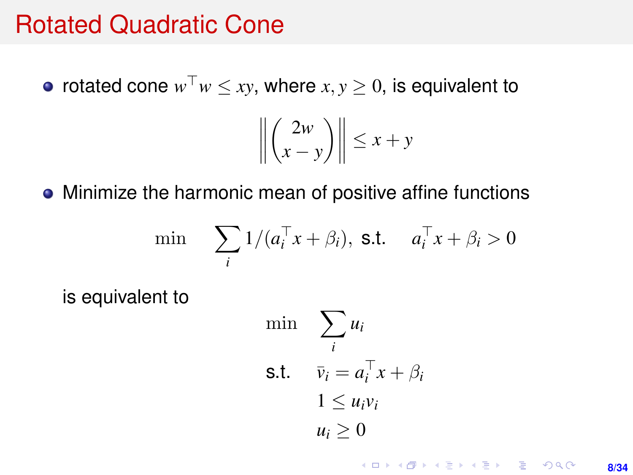#### Rotated Quadratic Cone

rotated cone  $w^{\top}w \leq xy$ , where  $x, y \geq 0$ , is equivalent to

$$
\left\| \binom{2w}{x-y} \right\| \le x+y
$$

• Minimize the harmonic mean of positive affine functions

$$
\min \sum_{i} 1/(a_i^{\top} x + \beta_i), \text{ s.t. } a_i^{\top} x + \beta_i > 0
$$

is equivalent to

$$
\begin{aligned}\n\min \quad & \sum_{i} u_i \\
\text{s.t.} \quad & \bar{v}_i = a_i^\top x + \beta_i \\
& 1 \le u_i v_i \\
& u_i \ge 0\n\end{aligned}
$$

KO KKO KARA VE KARA **8/34**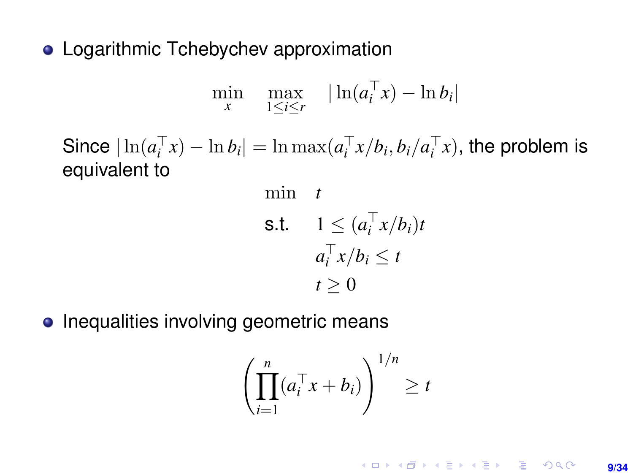• Logarithmic Tchebychev approximation

$$
\min_{x} \quad \max_{1 \leq i \leq r} \quad |\ln(a_i^\top x) - \ln b_i|
$$

Since  $|\ln(a_i^{\top} x) - \ln b_i| = \ln \max(a_i^{\top} x/b_i, b_i/a_i^{\top} x)$ , the problem is equivalent to

min t  
\ns.t. 
$$
1 \leq (a_i^\top x/b_i)t
$$
  
\n $a_i^\top x/b_i \leq t$   
\n $t \geq 0$ 

• Inequalities involving geometric means

$$
\left(\prod_{i=1}^n (a_i^\top x + b_i)\right)^{1/n} \ge t
$$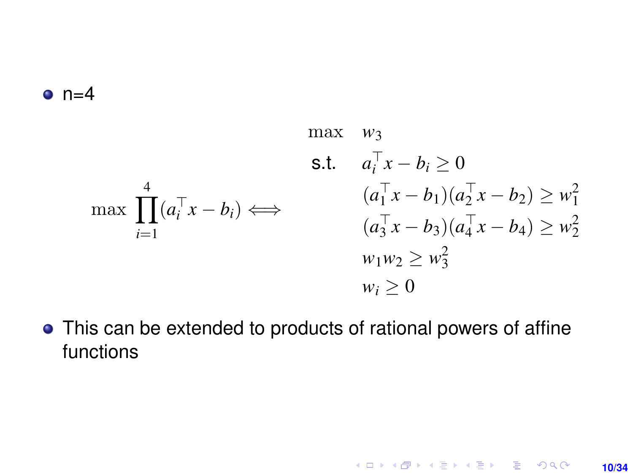#### $n=4$

$$
\max \quad w_3
$$
\n
$$
\text{s.t.} \quad a_i^{\top} x - b_i \ge 0
$$
\n
$$
\max \prod_{i=1}^4 (a_i^{\top} x - b_i) \Longleftrightarrow \qquad \begin{array}{c} (a_1^{\top} x - b_1)(a_2^{\top} x - b_2) \ge w_1^2\\ (a_3^{\top} x - b_3)(a_4^{\top} x - b_4) \ge w_2^2\\ w_1 w_2 \ge w_3^2\\ w_i \ge 0 \end{array}
$$

This can be extended to products of rational powers of affine functions

**10/34**

K ロ X x (個) X x ミ X x ミ X = 3 → 5 × 0 × 0 ×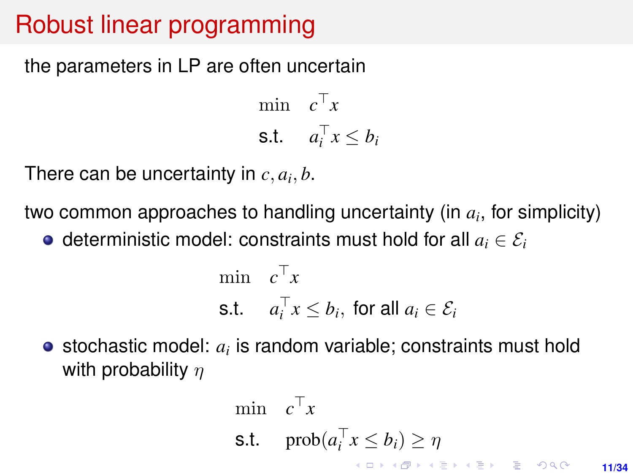## Robust linear programming

the parameters in LP are often uncertain

min  $c^{\top}x$ s.t.  $a_i^\top x \leq b_i$ 

There can be uncertainty in  $c, a_i, b$ .

two common approaches to handling uncertainty (in *a<sup>i</sup>* , for simplicity)

 $\bullet$  deterministic model: constraints must hold for all  $a_i \in \mathcal{E}_i$ 

$$
\begin{aligned}\n\min \quad & c^\top x \\
\text{s.t.} \quad & a_i^\top x \le b_i, \text{ for all } a_i \in \mathcal{E}_i\n\end{aligned}
$$

stochastic model: *a<sup>i</sup>* is random variable; constraints must hold with probability  $n$ 

$$
\begin{array}{ll}\n\min & c^{\top}x \\
\text{s.t.} & \text{prob}(a_i^{\top}x \le b_i) \ge \eta \\
\end{array}
$$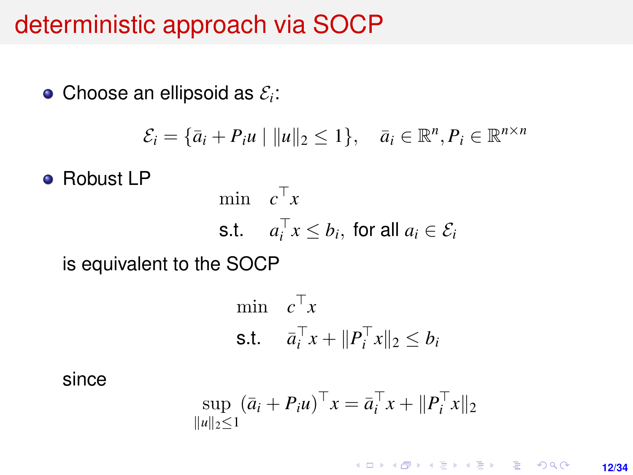#### deterministic approach via SOCP

Choose an ellipsoid as  $\mathcal{E}_i$ :

$$
\mathcal{E}_i = \{\bar{a}_i + P_i u \mid ||u||_2 \le 1\}, \quad \bar{a}_i \in \mathbb{R}^n, P_i \in \mathbb{R}^{n \times n}
$$

**• Robust LP** 

$$
\begin{aligned}\n\min \quad & c^\top x \\
\text{s.t.} \quad & a_i^\top x \le b_i, \text{ for all } a_i \in \mathcal{E}_i\n\end{aligned}
$$

is equivalent to the SOCP

$$
\begin{aligned}\n\min \quad & c^\top x \\
\text{s.t.} \quad & \bar{a}_i^\top x + \|P_i^\top x\|_2 \le b_i\n\end{aligned}
$$

since

$$
\sup_{\|u\|_2\leq 1} (\bar{a}_i + P_i u)^{\top} x = \bar{a}_i^{\top} x + \|P_i^{\top} x\|_2
$$

K ロ ▶ K @ ▶ K 할 ▶ K 할 ▶ ... 할 → 9 Q @ **12/34**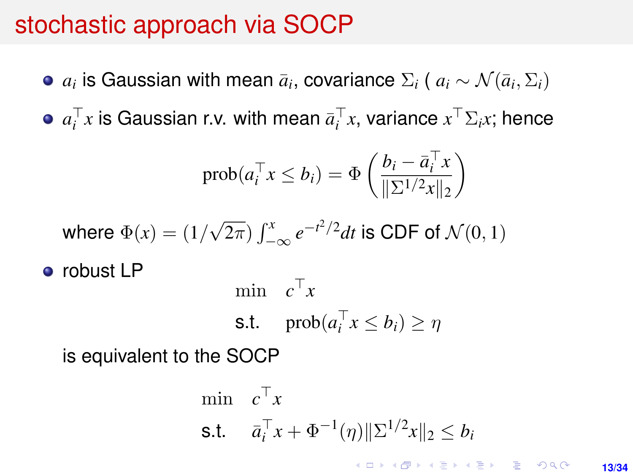## stochastic approach via SOCP

- $a_i$  is Gaussian with mean  $\bar{a}_i$ , covariance  $\Sigma_i$  (  $a_i \sim \mathcal{N}(\bar{a}_i, \Sigma_i)$
- $a_i^\top x$  is Gaussian r.v. with mean  $\bar{a}_i^\top x$ , variance  $x^\top \Sigma_i x$ ; hence

$$
\text{prob}(a_i^\top x \le b_i) = \Phi\left(\frac{b_i - \bar{a}_i^\top x}{\|\Sigma^{1/2} x\|_2}\right)
$$

where 
$$
\Phi(x) = (1/\sqrt{2\pi}) \int_{-\infty}^{x} e^{-t^2/2} dt
$$
 is CDF of  $\mathcal{N}(0, 1)$ 

• robust LP

$$
\begin{aligned}\n\min \quad & c^{\top} x \\
\text{s.t.} \quad & \text{prob}(a_i^{\top} x \le b_i) \ge \eta\n\end{aligned}
$$

is equivalent to the SOCP

$$
\begin{aligned}\n\min \quad & c^\top x \\
\text{s.t.} \quad & \bar{a}_i^\top x + \Phi^{-1}(\eta) \|\Sigma^{1/2} x\|_2 \le b_i \\
& \text{for all } x \in \mathbb{R} \text{ and } \bar{a} \in \mathbb{R} \text{ and } \bar{a} \in \mathbb{R} \text{ and } \bar{a} \in \mathbb{R} \text{ and } \bar{a} \in \mathbb{R} \text{ and } \bar{a} \in \mathbb{R} \text{ and } \bar{a} \in \mathbb{R} \text{ and } \bar{a} \in \mathbb{R} \text{ and } \bar{a} \in \mathbb{R} \text{ and } \bar{a} \in \mathbb{R} \text{ and } \bar{a} \in \mathbb{R} \text{ and } \bar{a} \in \mathbb{R} \text{ and } \bar{a} \in \mathbb{R} \text{ and } \bar{a} \in \mathbb{R} \text{ and } \bar{a} \in \mathbb{R} \text{ and } \bar{a} \in \mathbb{R} \text{ and } \bar{a} \in \mathbb{R} \text{ and } \bar{a} \in \mathbb{R} \text{ and } \bar{a} \in \mathbb{R} \text{ and } \bar{a} \in \mathbb{R} \text{ and } \bar{a} \in \mathbb{R} \text{ and } \bar{a} \in \mathbb{R} \text{ and } \bar{a} \in \mathbb{R} \text{ and } \bar{a} \in \mathbb{R} \text{ and } \bar{a} \in \mathbb{R} \text{ and } \bar{a} \in \mathbb{R} \text{ and } \bar{a} \in \mathbb{R} \text{ and } \bar{a} \in \mathbb{R} \text{ and } \bar{a} \in \mathbb{R} \text{ and } \bar{a} \in \mathbb{R} \text{ and } \bar{a} \in \mathbb{R} \text{ and } \bar{a} \in \mathbb{R} \text{ and } \bar{a} \in \mathbb{R} \text{ and } \bar{a} \in \mathbb{R} \text{ and } \bar{a} \in \mathbb{R} \text{ and } \bar{a} \in \mathbb{R} \text{ and } \bar{a} \in \mathbb{R} \text{ and } \bar{a} \in \mathbb{R} \text{ and } \bar{a} \in
$$

**13/34**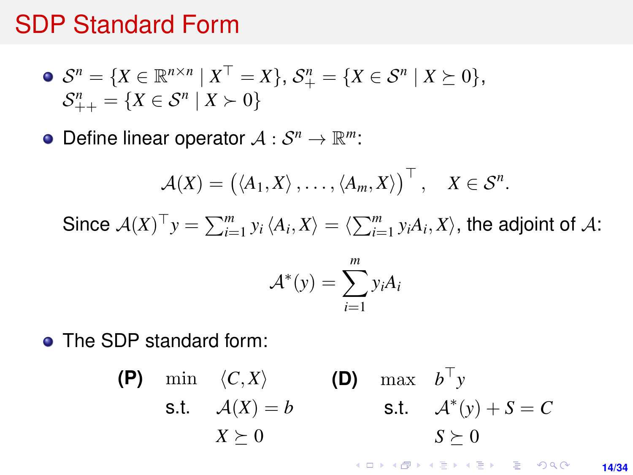#### <span id="page-13-0"></span>SDP Standard Form

$$
\bullet \ \mathcal{S}^n = \{ X \in \mathbb{R}^{n \times n} \mid X^\top = X \}, \ \mathcal{S}^n_+ = \{ X \in \mathcal{S}^n \mid X \succeq 0 \}, \\ \mathcal{S}^n_{++} = \{ X \in \mathcal{S}^n \mid X \succ 0 \}
$$

Define linear operator  $A: \mathcal{S}^n \to \mathbb{R}^m$ :

$$
\mathcal{A}(X) = (\langle A_1, X \rangle, \ldots, \langle A_m, X \rangle)^{\top}, \quad X \in \mathcal{S}^n.
$$

Since  $\mathcal{A}(X)^\top y = \sum_{i=1}^m y_i \langle A_i, X \rangle = \langle \sum_{i=1}^m y_i A_i, X \rangle$ , the adjoint of  $\mathcal{A}$ :

$$
\mathcal{A}^*(y) = \sum_{i=1}^m y_i A_i
$$

**• The SDP standard form:** 

(P) min 
$$
\langle C, X \rangle
$$
  
\ns.t.  $A(X) = b$   
\n $X \succeq 0$   
\n(D) max  $b^{\top} y$   
\ns.t.  $A^*(y) + S = C$   
\n $S \succeq 0$ 

**KORKARK KERKER DRAM 14/34**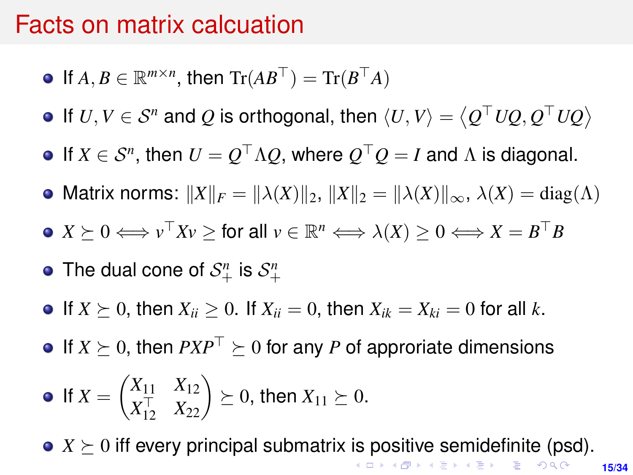#### <span id="page-14-0"></span>Facts on matrix calcuation

- If  $A, B \in \mathbb{R}^{m \times n}$ , then  $\text{Tr}(AB^{\top}) = \text{Tr}(B^{\top}A)$
- If  $U, V \in \mathcal{S}^n$  and  $Q$  is orthogonal, then  $\langle U, V \rangle = \langle Q^\top U Q, Q^\top U Q \rangle$
- If  $X \in \mathcal{S}^n$ , then  $U = Q^\top \Lambda Q$ , where  $Q^\top Q = I$  and  $\Lambda$  is diagonal.
- Matrix norms:  $||X||_F = ||\lambda(X)||_2$ ,  $||X||_2 = ||\lambda(X)||_{\infty}$ ,  $\lambda(X) = \text{diag}(\Lambda)$
- $X \succeq 0 \Longleftrightarrow v^\top X v \geq \text{for all } v \in \mathbb{R}^n \Longleftrightarrow \lambda(X) \geq 0 \Longleftrightarrow X = B^\top B$
- The dual cone of  $\mathcal{S}^n_+$  is  $\mathcal{S}^n_+$
- If  $X \succ 0$ , then  $X_{ii} > 0$ . If  $X_{ii} = 0$ , then  $X_{ik} = X_{ki} = 0$  for all k.
- $\bullet$  If  $X \succeq 0$ , then  $PXP^{\top} \succeq 0$  for any *P* of approriate dimensions

• If 
$$
X = \begin{pmatrix} X_{11} & X_{12} \\ X_{12}^{\top} & X_{22} \end{pmatrix} \succeq 0
$$
, then  $X_{11} \succeq 0$ .

•  $X \succeq 0$  $X \succeq 0$  $X \succeq 0$  iff every principal submatrix [is](#page-13-0) [po](#page-15-0)s[iti](#page-14-0)[v](#page-15-0)[e](#page-0-0) [se](#page-33-0)[mi](#page-0-0)[de](#page-33-0)[fi](#page-0-0)[nite](#page-33-0) (psd).

**15/34**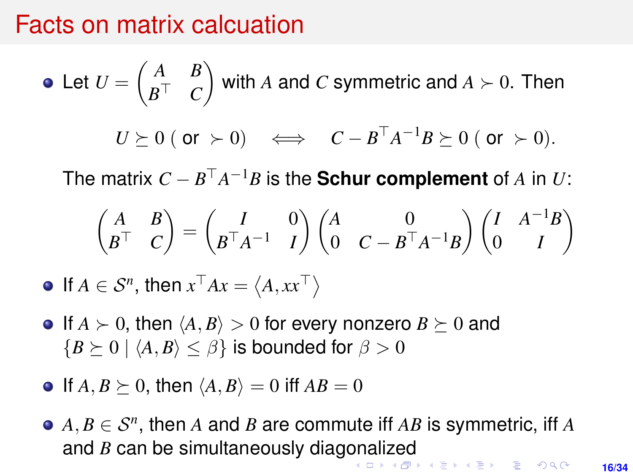#### <span id="page-15-0"></span>Facts on matrix calcuation

• Let 
$$
U = \begin{pmatrix} A & B \\ B^{\top} & C \end{pmatrix}
$$
 with A and C symmetric and  $A \succ 0$ . Then  
\n $U \succeq 0$  (or  $\succ 0$ )  $\iff C - B^{\top} A^{-1} B \succeq 0$  (or  $\succ 0$ ).

The matrix  $C - B^{\top}A^{-1}B$  is the **Schur complement** of  $A$  in  $U$ :

$$
\begin{pmatrix} A & B \\ B^{\top} & C \end{pmatrix} = \begin{pmatrix} I & 0 \\ B^{\top} A^{-1} & I \end{pmatrix} \begin{pmatrix} A & 0 \\ 0 & C - B^{\top} A^{-1} B \end{pmatrix} \begin{pmatrix} I & A^{-1} B \\ 0 & I \end{pmatrix}
$$

If  $A \in \mathcal{S}^n$ , then  $x^\top Ax = \langle A, xx^\top \rangle$ 

- $\bullet$  If  $A \succ 0$ , then  $\langle A, B \rangle > 0$  for every nonzero  $B \succeq 0$  and  ${B \succ 0 \mid \langle A, B \rangle \leq \beta}$  is bounded for  $\beta > 0$
- $\bullet$  If  $A, B \succeq 0$ , then  $\langle A, B \rangle = 0$  iff  $AB = 0$
- $A, B \in \mathcal{S}^n$ , then *A* and *B* are commute iff *AB* is symmetric, iff *A* and *B* can be simultaneously diag[on](#page-14-0)[ali](#page-16-0)[z](#page-14-0)[ed](#page-15-0)<br>Allegated as the second service and the second service and service and service and service and service and service and service and service and service and service and service and

**16/34**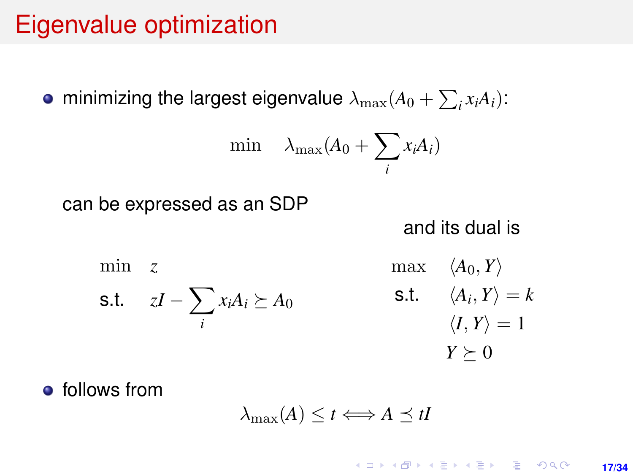## <span id="page-16-0"></span>Eigenvalue optimization

minimizing the largest eigenvalue  $\lambda_{\max}(A_0 + \sum_i x_i A_i)$ :

$$
\min \quad \lambda_{\max}(A_0 + \sum_i x_i A_i)
$$

can be expressed as an SDP

and its dual is

min *z* s.t.  $zI - \sum$ *i*  $x_iA_i \succeq A_0$  $max \langle A_0, Y \rangle$ s.t.  $\langle A_i, Y \rangle = k$  $\langle I, Y \rangle = 1$  $Y \succeq 0$ 

**•** follows from

$$
\lambda_{\max}(A) \leq t \Longleftrightarrow A \preceq tI
$$

**KORKARK A BIK BIKA A GA A GA A GA A BIKA A BIKA A BIKA A BIKA A BIKA A BIKA A BIKA A BIKA A BIKA A BIKA A BIKA 17/34**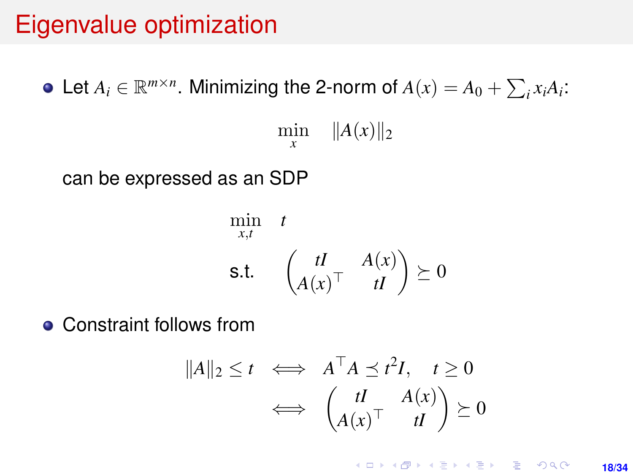## Eigenvalue optimization

Let  $A_i \in \mathbb{R}^{m \times n}$ . Minimizing the 2-norm of  $A(x) = A_0 + \sum_i x_i A_i$ : min  $||A(x)||_2$ *x* can be expressed as an SDP

$$
\min_{x,t} \quad t
$$
\n
$$
\text{s.t.} \quad \begin{pmatrix} tI & A(x) \\ A(x)^\top & tI \end{pmatrix} \succeq 0
$$

• Constraint follows from

$$
||A||_2 \le t \iff A^\top A \preceq t^2 I, \quad t \ge 0
$$
  

$$
\iff \begin{pmatrix} tI & A(x) \\ A(x)^\top & tI \end{pmatrix} \succeq 0
$$

**KORKARK KERKER DRAM 18/34**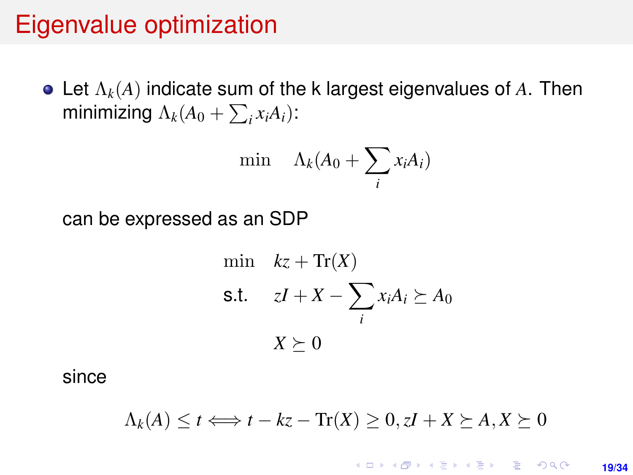### Eigenvalue optimization

Let Λ*k*(*A*) indicate sum of the k largest eigenvalues of *A*. Then minimizing  $\Lambda_k(A_0 + \sum_i x_i A_i)$ :

$$
\min \quad \Lambda_k(A_0 + \sum_i x_i A_i)
$$

can be expressed as an SDP

min 
$$
kz + \text{Tr}(X)
$$
  
\ns.t.  $zI + X - \sum_i x_i A_i \succeq A_0$   
\n $X \succeq 0$ 

since

$$
\Lambda_k(A) \le t \Longleftrightarrow t - kz - \text{Tr}(X) \ge 0, zI + X \succeq A, X \succeq 0
$$

**KORKARK KERKER DRAM 19/34**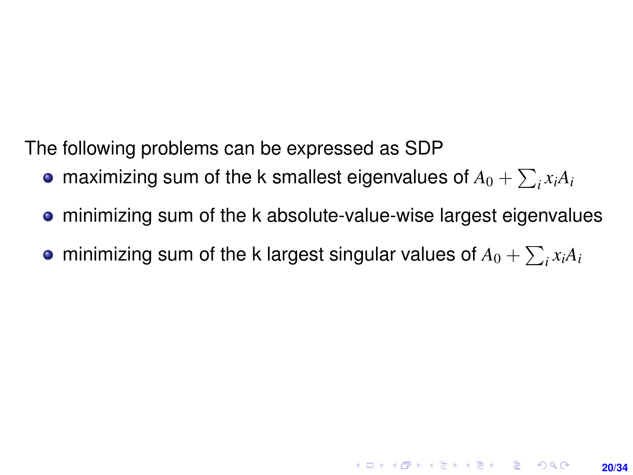The following problems can be expressed as SDP

- maximizing sum of the k smallest eigenvalues of  $A_0 + \sum_i x_i A_i$
- minimizing sum of the k absolute-value-wise largest eigenvalues

**20/34**

**KORKAR KERKER E VOOR** 

minimizing sum of the k largest singular values of  $A_0 + \sum_i x_i A_i$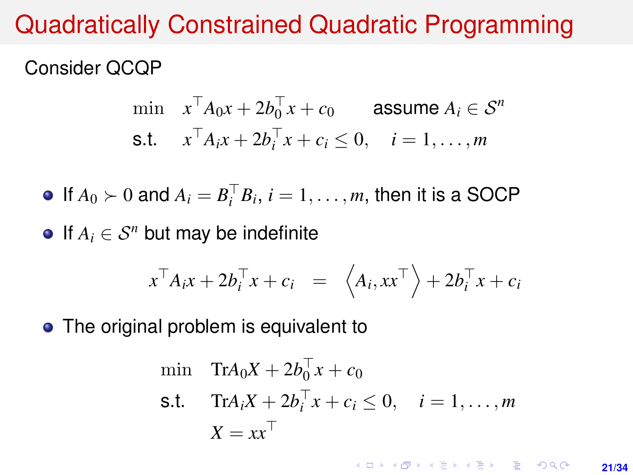## Quadratically Constrained Quadratic Programming

#### Consider QCQP

$$
\begin{aligned}\n\min \quad & x^\top A_0 x + 2b_0^\top x + c_0 \quad \text{assume } A_i \in \mathcal{S}^n \\
\text{s.t.} \quad & x^\top A_i x + 2b_i^\top x + c_i \le 0, \quad i = 1, \dots, m\n\end{aligned}
$$

If  $A_0 \succ 0$  and  $A_i = B_i^\top B_i$ ,  $i = 1, \ldots, m$ , then it is a SOCP

 $\bullet$  If  $A_i$  ∈  $S^n$  but may be indefinite

$$
x^{\top} A_i x + 2b_i^{\top} x + c_i = \langle A_i, xx^{\top} \rangle + 2b_i^{\top} x + c_i
$$

• The original problem is equivalent to

$$
\begin{aligned}\n\min \quad & \text{Tr} A_0 X + 2b_0^\top x + c_0 \\
\text{s.t.} \quad & \text{Tr} A_i X + 2b_i^\top x + c_i \le 0, \quad i = 1, \dots, m \\
& X = xx^\top\n\end{aligned}
$$

**KORKARK A BIK BIKA A GA A GA A GA A BIKA A BIKA A BIKA A BIKA A BIKA A BIKA A BIKA A BIKA A BIKA A BIKA A BIKA 21/34**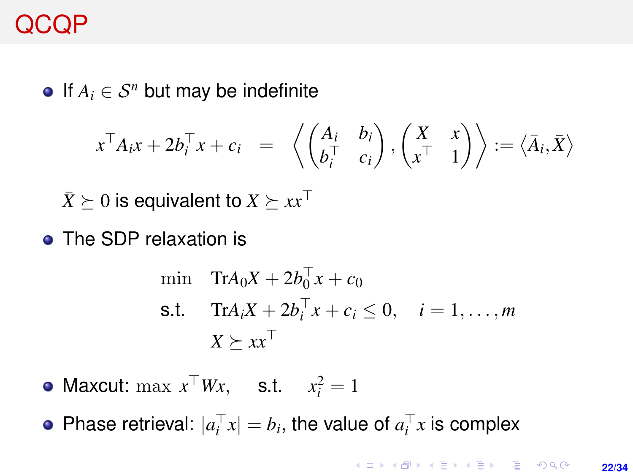## QCQP

 $\bullet$  If  $A_i$  ∈  $S^n$  but may be indefinite

$$
x^{\top} A_i x + 2b_i^{\top} x + c_i = \left\langle \begin{pmatrix} A_i & b_i \\ b_i^{\top} & c_i \end{pmatrix}, \begin{pmatrix} X & x \\ x^{\top} & 1 \end{pmatrix} \right\rangle := \left\langle \overline{A}_i, \overline{X} \right\rangle
$$

 $\bar{X}$   $\succeq$  0 is equivalent to  $X \succeq xx^\top$ 

• The SDP relaxation is

$$
\begin{aligned}\n\min \quad & \text{Tr} A_0 X + 2b_0^\top x + c_0 \\
\text{s.t.} \quad & \text{Tr} A_i X + 2b_i^\top x + c_i \le 0, \quad i = 1, \dots, m \\
& X \succeq x x^\top\n\end{aligned}
$$

Maxcut:  $\max x^{\top}Wx$ , s.t.  $x_i^2 = 1$ 

Phase retrieval:  $|a_i^{\top} x| = b_i$ , the value of  $a_i^{\top} x$  is complex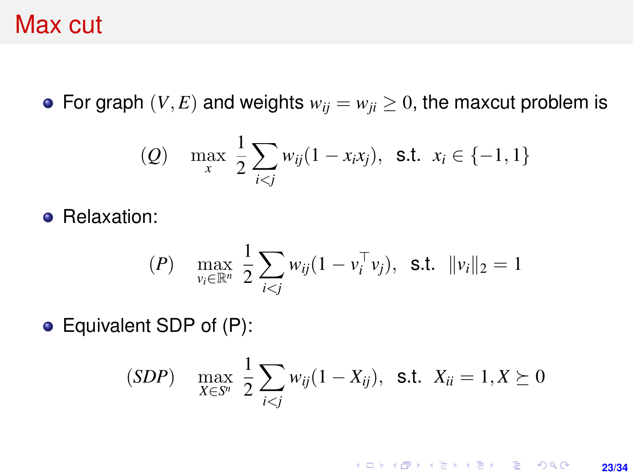#### Max cut

• For graph  $(V, E)$  and weights  $w_{ij} = w_{ji} \geq 0$ , the maxcut problem is

(Q) 
$$
\max_{x} \frac{1}{2} \sum_{i < j} w_{ij} (1 - x_i x_j), \text{ s.t. } x_i \in \{-1, 1\}
$$

**•** Relaxation:

$$
(P) \quad \max_{v_i \in \mathbb{R}^n} \frac{1}{2} \sum_{i < j} w_{ij} (1 - v_i^\top v_j), \quad \text{s.t.} \quad \|v_i\|_2 = 1
$$

Equivalent SDP of (P):

$$
(SDP) \quad \max_{X \in S^n} \frac{1}{2} \sum_{i < j} w_{ij} (1 - X_{ij}), \ \ \text{s.t.} \ \ X_{ii} = 1, X \succeq 0
$$

K ロ ▶ K @ ▶ K 할 ▶ K 할 ▶ ... 할 → 9 Q @ **23/34**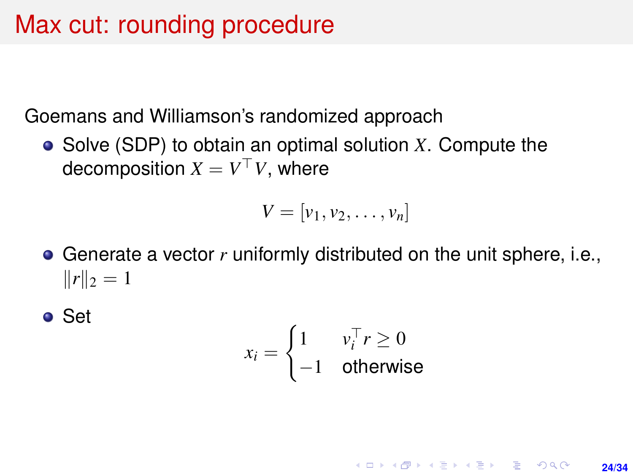## Max cut: rounding procedure

Goemans and Williamson's randomized approach

Solve (SDP) to obtain an optimal solution *X*. Compute the decomposition  $X = V^\top V$ , where

$$
V=[v_1,v_2,\ldots,v_n]
$$

Generate a vector *r* uniformly distributed on the unit sphere, i.e.,  $||r||_2 = 1$ 

● Set

$$
x_i = \begin{cases} 1 & v_i^\top r \ge 0 \\ -1 & \text{otherwise} \end{cases}
$$

**KORKARK KERKER DRAM 24/34**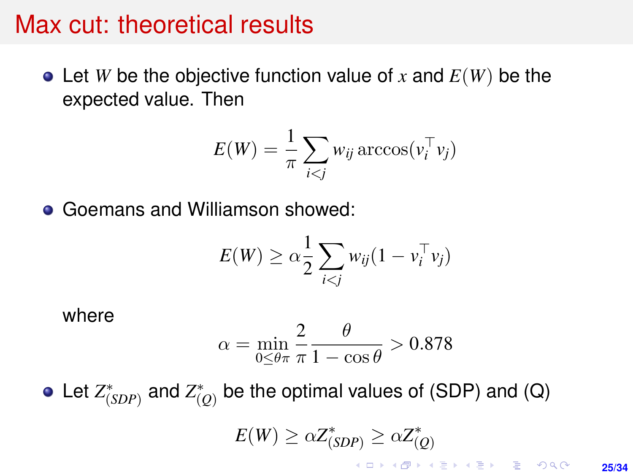#### Max cut: theoretical results

 $\bullet$  Let *W* be the objective function value of *x* and  $E(W)$  be the expected value. Then

$$
E(W) = \frac{1}{\pi} \sum_{i < j} w_{ij} \arccos(v_i^{\top} v_j)
$$

Goemans and Williamson showed:  $\bullet$ 

$$
E(W) \geq \alpha \frac{1}{2} \sum_{i < j} w_{ij} (1 - v_i^\top v_j)
$$

where

$$
\alpha = \min_{0 \leq \theta \pi} \frac{2}{\pi} \frac{\theta}{1 - \cos \theta} > 0.878
$$

Let  $Z^*_{(SDP)}$  and  $Z^*_{(Q)}$  be the optimal values of (SDP) and (Q)  $E(W) \geq \alpha Z_{(SDP)}^* \geq \alpha Z_{(Q)}^*$ 

> KID KA KERKER E 1990 **25/34**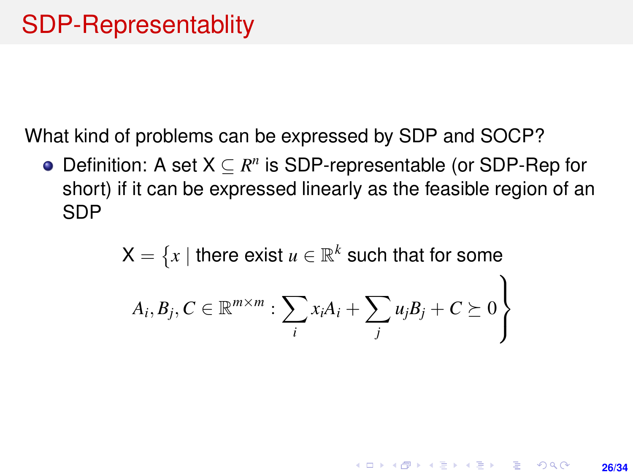What kind of problems can be expressed by SDP and SOCP?

Definition: A set  $X \subseteq R^n$  is SDP-representable (or SDP-Rep for short) if it can be expressed linearly as the feasible region of an SDP

$$
X = \{x \mid \text{there exist } u \in \mathbb{R}^k \text{ such that for some}
$$

$$
A_i, B_j, C \in \mathbb{R}^{m \times m} : \sum_i x_i A_i + \sum_j u_j B_j + C \succeq 0 \}
$$

**26/34**

**KORKARK A BIK BIKA A GA A GA A GA A BIKA A BIKA A BIKA A BIKA A BIKA A BIKA A BIKA A BIKA A BIKA A BIKA A BIKA**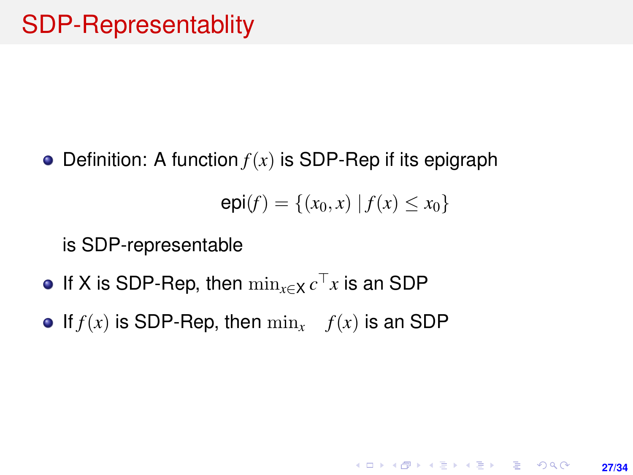• Definition: A function  $f(x)$  is SDP-Rep if its epigraph

$$
epi(f) = \{(x_0, x) | f(x) \le x_0\}
$$

**27/34**

**KORKARK A BIK BIKA A GA A GA A GA A BIKA A BIKA A BIKA A BIKA A BIKA A BIKA A BIKA A BIKA A BIKA A BIKA A BIKA** 

is SDP-representable

- If X is SDP-Rep, then  $\min_{x \in X} c^{\top}x$  is an SDP
- If  $f(x)$  is SDP-Rep, then  $\min_x f(x)$  is an SDP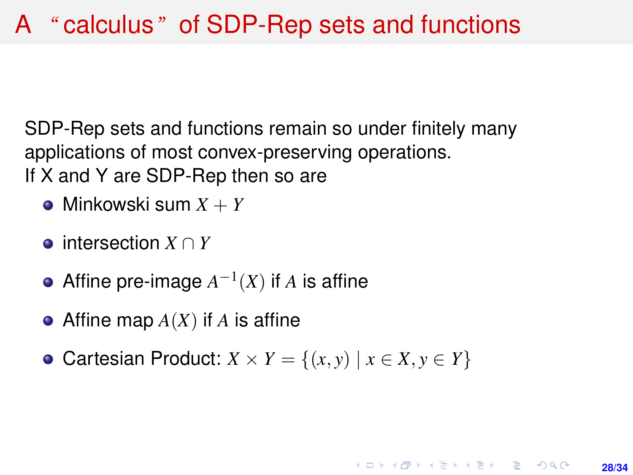SDP-Rep sets and functions remain so under finitely many applications of most convex-preserving operations. If X and Y are SDP-Rep then so are

- Minkowski sum *X* + *Y*
- intersection *X* ∩ *Y*
- Affine pre-image  $A^{-1}(X)$  if  $A$  is affine
- Affine map *A*(*X*) if *A* is affine
- Cartesian Product:  $X \times Y = \{(x, y) \mid x \in X, y \in Y\}$

**28/34**

**KORKARK A BIK BIKA A GA A GA A GA A BIKA A BIKA A BIKA A BIKA A BIKA A BIKA A BIKA A BIKA A BIKA A BIKA A BIKA**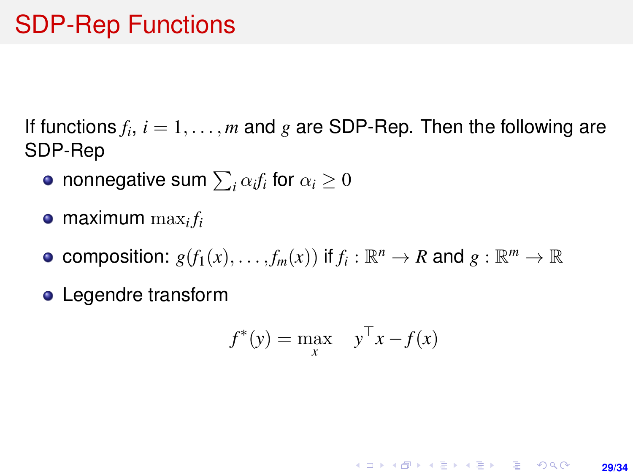## SDP-Rep Functions

If functions  $f_i$ ,  $i = 1, \ldots, m$  and  $g$  are SDP-Rep. Then the following are SDP-Rep

- nonnegative sum  $\sum_i \alpha_i f_i$  for  $\alpha_i \geq 0$
- maximum  $\max_i f_i$
- composition:  $g(f_1(x),...,f_m(x))$  if  $f_i:\mathbb{R}^n\to R$  and  $g:\mathbb{R}^m\to\mathbb{R}$
- **•** Legendre transform

$$
f^*(y) = \max_x \quad y^\top x - f(x)
$$

**29/34**

**KORKARK KERKER DRAM**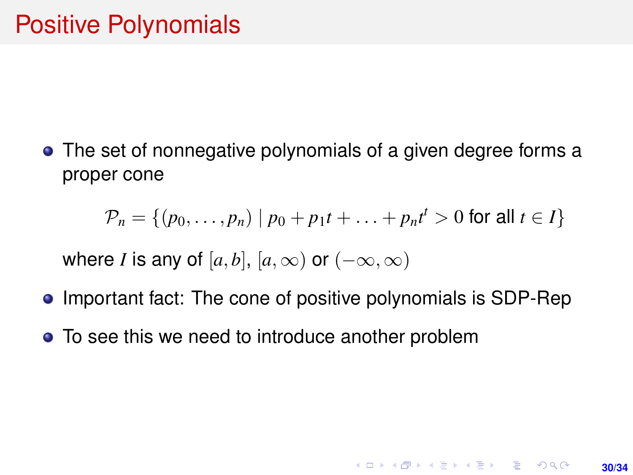The set of nonnegative polynomials of a given degree forms a proper cone

$$
\mathcal{P}_n = \{ (p_0, \dots, p_n) \mid p_0 + p_1 t + \dots + p_n t^t > 0 \text{ for all } t \in I \}
$$

**30/34**

**KORKARK KERKER DRAM** 

where *I* is any of  $[a, b]$ ,  $[a, \infty)$  or  $(-\infty, \infty)$ 

- Important fact: The cone of positive polynomials is SDP-Rep
- To see this we need to introduce another problem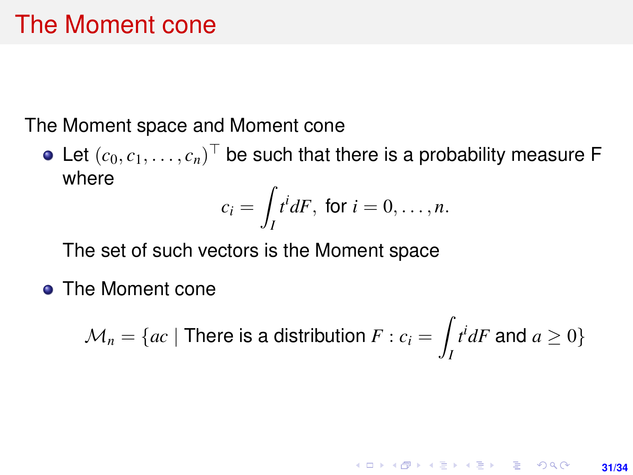## The Moment cone

The Moment space and Moment cone

Let  $(c_0, c_1, \ldots, c_n)^\top$  be such that there is a probability measure F where

$$
c_i = \int_I t^i dF, \text{ for } i = 0, \ldots, n.
$$

The set of such vectors is the Moment space

**• The Moment cone** 

$$
\mathcal{M}_n = \{ ac \mid \text{There is a distribution } F : c_i = \int_I t^i dF \text{ and } a \ge 0 \}
$$

 $\overline{a}$ 

**KORKARK KERKER DRAM** 

**31/34**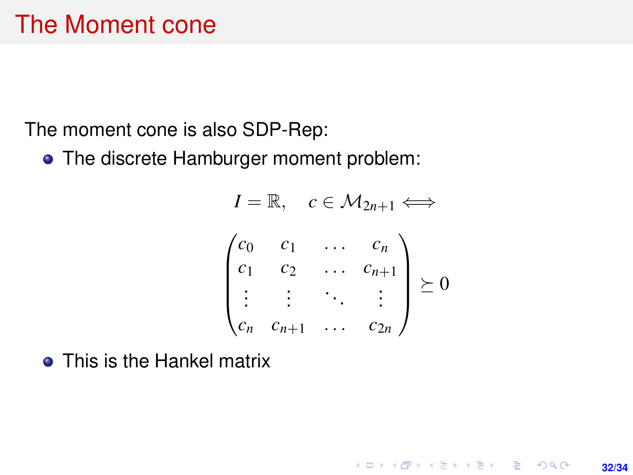The moment cone is also SDP-Rep:

• The discrete Hamburger moment problem:

$$
I = \mathbb{R}, \quad c \in \mathcal{M}_{2n+1} \Longleftrightarrow
$$
\n
$$
\begin{pmatrix}\nc_0 & c_1 & \cdots & c_n \\
c_1 & c_2 & \cdots & c_{n+1} \\
\vdots & \vdots & \ddots & \vdots \\
c_n & c_{n+1} & \cdots & c_{2n}\n\end{pmatrix} \succeq 0
$$

**32/34**

K ロ > K @ > K 할 > K 할 > → 할 → 9 Q @

• This is the Hankel matrix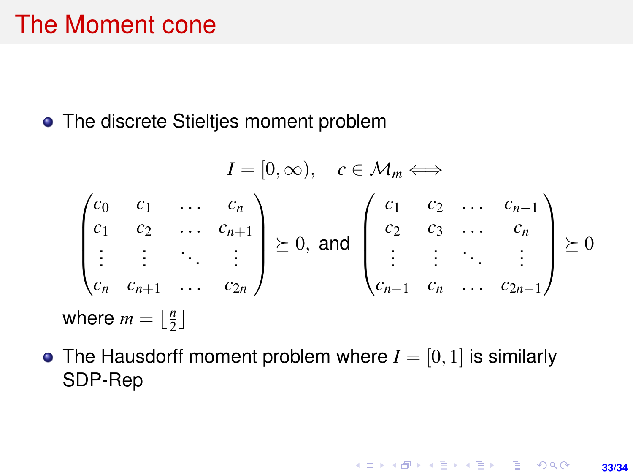## The Moment cone

• The discrete Stieltjes moment problem

$$
I = [0, \infty), \quad c \in \mathcal{M}_m \Longleftrightarrow
$$
\n
$$
\begin{pmatrix}\nc_0 & c_1 & \dots & c_n \\
c_1 & c_2 & \dots & c_{n+1} \\
\vdots & \vdots & \ddots & \vdots \\
c_n & c_{n+1} & \dots & c_{2n}\n\end{pmatrix} \succeq 0, \text{ and } \begin{pmatrix}\nc_1 & c_2 & \dots & c_{n-1} \\
c_2 & c_3 & \dots & c_n \\
\vdots & \vdots & \ddots & \vdots \\
c_{n-1} & c_n & \dots & c_{2n-1}\n\end{pmatrix} \succeq 0
$$
\nwhere  $m = \lfloor \frac{n}{2} \rfloor$ 

• The Hausdorff moment problem where  $I = [0, 1]$  is similarly SDP-Rep